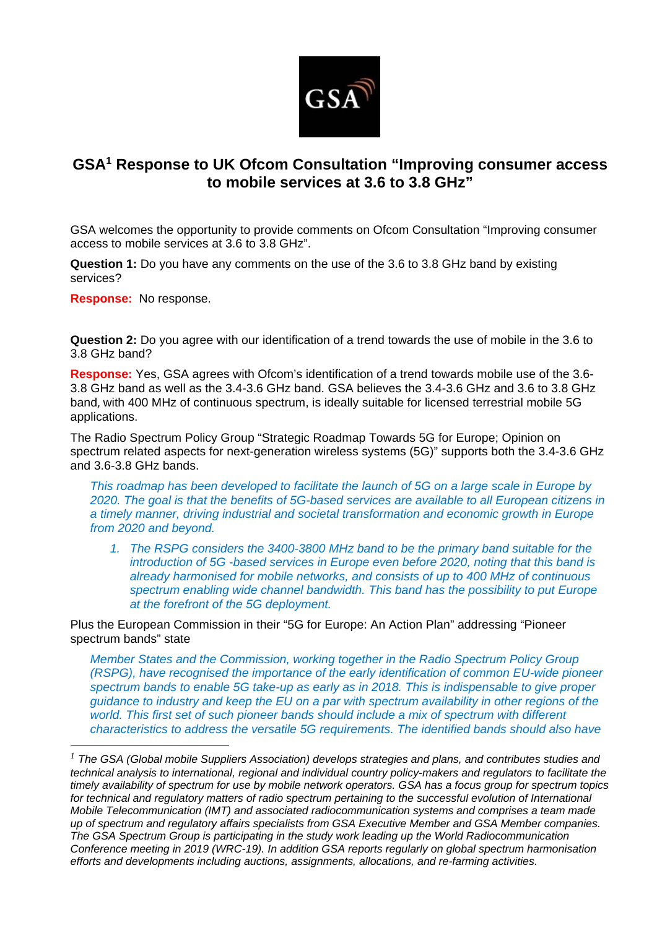

## **GSA1 Response to UK Ofcom Consultation "Improving consumer access to mobile services at 3.6 to 3.8 GHz"**

GSA welcomes the opportunity to provide comments on Ofcom Consultation "Improving consumer access to mobile services at 3.6 to 3.8 GHz".

**Question 1:** Do you have any comments on the use of the 3.6 to 3.8 GHz band by existing services?

**Response:** No response.

**Question 2:** Do you agree with our identification of a trend towards the use of mobile in the 3.6 to 3.8 GHz band?

**Response:** Yes, GSA agrees with Ofcom's identification of a trend towards mobile use of the 3.6- 3.8 GHz band as well as the 3.4-3.6 GHz band. GSA believes the 3.4-3.6 GHz and 3.6 to 3.8 GHz band, with 400 MHz of continuous spectrum, is ideally suitable for licensed terrestrial mobile 5G applications.

The Radio Spectrum Policy Group "Strategic Roadmap Towards 5G for Europe; Opinion on spectrum related aspects for next-generation wireless systems (5G)" supports both the 3.4-3.6 GHz and 3.6-3.8 GHz bands.

*This roadmap has been developed to facilitate the launch of 5G on a large scale in Europe by 2020. The goal is that the benefits of 5G-based services are available to all European citizens in a timely manner, driving industrial and societal transformation and economic growth in Europe from 2020 and beyond.* 

*1. The RSPG considers the 3400-3800 MHz band to be the primary band suitable for the introduction of 5G -based services in Europe even before 2020, noting that this band is already harmonised for mobile networks, and consists of up to 400 MHz of continuous spectrum enabling wide channel bandwidth. This band has the possibility to put Europe at the forefront of the 5G deployment.* 

Plus the European Commission in their "5G for Europe: An Action Plan" addressing "Pioneer spectrum bands" state

*Member States and the Commission, working together in the Radio Spectrum Policy Group (RSPG), have recognised the importance of the early identification of common EU-wide pioneer spectrum bands to enable 5G take-up as early as in 2018. This is indispensable to give proper guidance to industry and keep the EU on a par with spectrum availability in other regions of the world. This first set of such pioneer bands should include a mix of spectrum with different characteristics to address the versatile 5G requirements. The identified bands should also have* 

*<sup>1</sup> The GSA (Global mobile Suppliers Association) develops strategies and plans, and contributes studies and technical analysis to international, regional and individual country policy-makers and regulators to facilitate the timely availability of spectrum for use by mobile network operators. GSA has a focus group for spectrum topics*  for technical and regulatory matters of radio spectrum pertaining to the successful evolution of International *Mobile Telecommunication (IMT) and associated radiocommunication systems and comprises a team made up of spectrum and regulatory affairs specialists from GSA Executive Member and GSA Member companies. The GSA Spectrum Group is participating in the study work leading up the World Radiocommunication Conference meeting in 2019 (WRC-19). In addition GSA reports regularly on global spectrum harmonisation efforts and developments including auctions, assignments, allocations, and re-farming activities.*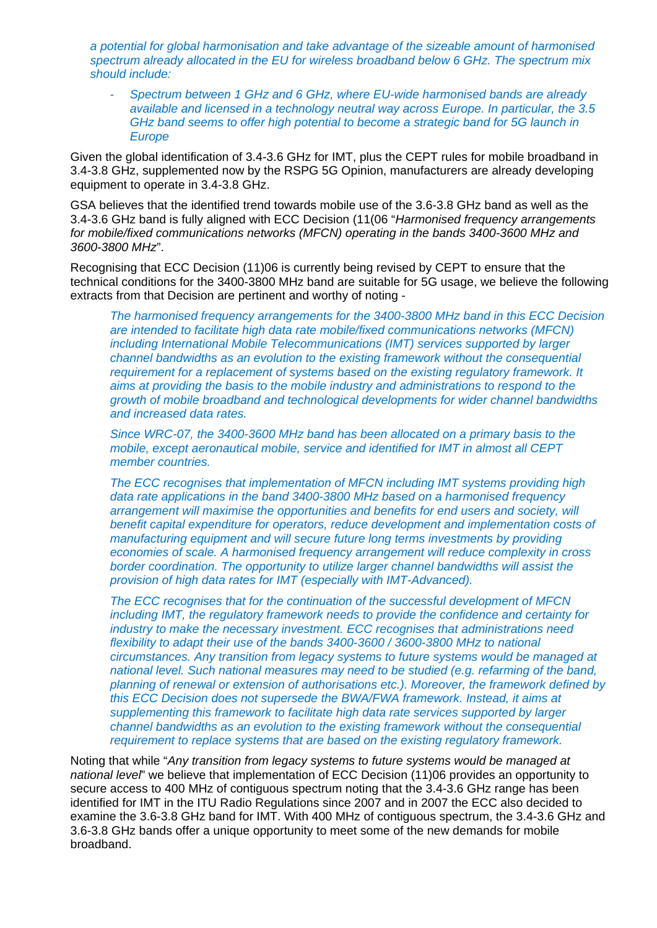*a potential for global harmonisation and take advantage of the sizeable amount of harmonised spectrum already allocated in the EU for wireless broadband below 6 GHz. The spectrum mix should include:* 

- *Spectrum between 1 GHz and 6 GHz, where EU-wide harmonised bands are already available and licensed in a technology neutral way across Europe. In particular, the 3.5 GHz band seems to offer high potential to become a strategic band for 5G launch in Europe* 

Given the global identification of 3.4-3.6 GHz for IMT, plus the CEPT rules for mobile broadband in 3.4-3.8 GHz, supplemented now by the RSPG 5G Opinion, manufacturers are already developing equipment to operate in 3.4-3.8 GHz.

GSA believes that the identified trend towards mobile use of the 3.6-3.8 GHz band as well as the 3.4-3.6 GHz band is fully aligned with ECC Decision (11(06 "*Harmonised frequency arrangements for mobile/fixed communications networks (MFCN) operating in the bands 3400-3600 MHz and 3600-3800 MHz*".

Recognising that ECC Decision (11)06 is currently being revised by CEPT to ensure that the technical conditions for the 3400-3800 MHz band are suitable for 5G usage, we believe the following extracts from that Decision are pertinent and worthy of noting -

*The harmonised frequency arrangements for the 3400-3800 MHz band in this ECC Decision are intended to facilitate high data rate mobile/fixed communications networks (MFCN) including International Mobile Telecommunications (IMT) services supported by larger channel bandwidths as an evolution to the existing framework without the consequential requirement for a replacement of systems based on the existing regulatory framework. It aims at providing the basis to the mobile industry and administrations to respond to the growth of mobile broadband and technological developments for wider channel bandwidths and increased data rates.* 

*Since WRC-07, the 3400-3600 MHz band has been allocated on a primary basis to the mobile, except aeronautical mobile, service and identified for IMT in almost all CEPT member countries.* 

*The ECC recognises that implementation of MFCN including IMT systems providing high data rate applications in the band 3400-3800 MHz based on a harmonised frequency arrangement will maximise the opportunities and benefits for end users and society, will benefit capital expenditure for operators, reduce development and implementation costs of manufacturing equipment and will secure future long terms investments by providing economies of scale. A harmonised frequency arrangement will reduce complexity in cross border coordination. The opportunity to utilize larger channel bandwidths will assist the provision of high data rates for IMT (especially with IMT-Advanced).* 

*The ECC recognises that for the continuation of the successful development of MFCN including IMT, the regulatory framework needs to provide the confidence and certainty for industry to make the necessary investment. ECC recognises that administrations need flexibility to adapt their use of the bands 3400-3600 / 3600-3800 MHz to national circumstances. Any transition from legacy systems to future systems would be managed at national level. Such national measures may need to be studied (e.g. refarming of the band, planning of renewal or extension of authorisations etc.). Moreover, the framework defined by this ECC Decision does not supersede the BWA/FWA framework. Instead, it aims at supplementing this framework to facilitate high data rate services supported by larger channel bandwidths as an evolution to the existing framework without the consequential requirement to replace systems that are based on the existing regulatory framework.* 

Noting that while "*Any transition from legacy systems to future systems would be managed at national level*" we believe that implementation of ECC Decision (11)06 provides an opportunity to secure access to 400 MHz of contiguous spectrum noting that the 3.4-3.6 GHz range has been identified for IMT in the ITU Radio Regulations since 2007 and in 2007 the ECC also decided to examine the 3.6-3.8 GHz band for IMT. With 400 MHz of contiguous spectrum, the 3.4-3.6 GHz and 3.6-3.8 GHz bands offer a unique opportunity to meet some of the new demands for mobile broadband.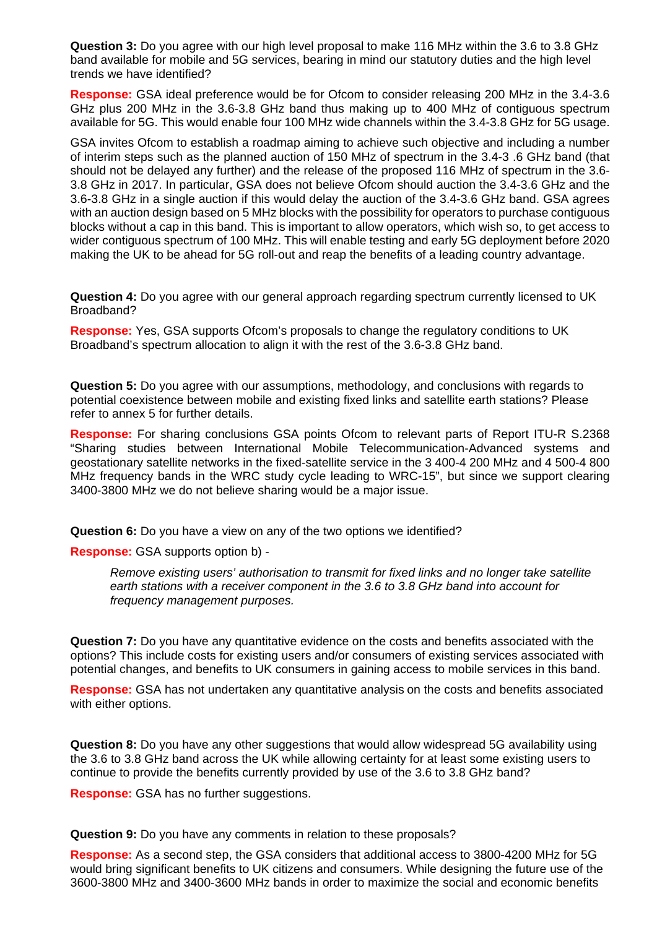**Question 3:** Do you agree with our high level proposal to make 116 MHz within the 3.6 to 3.8 GHz band available for mobile and 5G services, bearing in mind our statutory duties and the high level trends we have identified?

**Response:** GSA ideal preference would be for Ofcom to consider releasing 200 MHz in the 3.4-3.6 GHz plus 200 MHz in the 3.6-3.8 GHz band thus making up to 400 MHz of contiguous spectrum available for 5G. This would enable four 100 MHz wide channels within the 3.4-3.8 GHz for 5G usage.

GSA invites Ofcom to establish a roadmap aiming to achieve such objective and including a number of interim steps such as the planned auction of 150 MHz of spectrum in the 3.4-3 .6 GHz band (that should not be delayed any further) and the release of the proposed 116 MHz of spectrum in the 3.6- 3.8 GHz in 2017. In particular, GSA does not believe Ofcom should auction the 3.4-3.6 GHz and the 3.6-3.8 GHz in a single auction if this would delay the auction of the 3.4-3.6 GHz band. GSA agrees with an auction design based on 5 MHz blocks with the possibility for operators to purchase contiguous blocks without a cap in this band. This is important to allow operators, which wish so, to get access to wider contiguous spectrum of 100 MHz. This will enable testing and early 5G deployment before 2020 making the UK to be ahead for 5G roll-out and reap the benefits of a leading country advantage.

**Question 4:** Do you agree with our general approach regarding spectrum currently licensed to UK Broadband?

**Response:** Yes, GSA supports Ofcom's proposals to change the regulatory conditions to UK Broadband's spectrum allocation to align it with the rest of the 3.6-3.8 GHz band.

**Question 5:** Do you agree with our assumptions, methodology, and conclusions with regards to potential coexistence between mobile and existing fixed links and satellite earth stations? Please refer to annex 5 for further details.

**Response:** For sharing conclusions GSA points Ofcom to relevant parts of Report ITU-R S.2368 "Sharing studies between International Mobile Telecommunication-Advanced systems and geostationary satellite networks in the fixed-satellite service in the 3 400-4 200 MHz and 4 500-4 800 MHz frequency bands in the WRC study cycle leading to WRC-15", but since we support clearing 3400-3800 MHz we do not believe sharing would be a major issue.

**Question 6:** Do you have a view on any of the two options we identified?

**Response:** GSA supports option b) -

*Remove existing users' authorisation to transmit for fixed links and no longer take satellite earth stations with a receiver component in the 3.6 to 3.8 GHz band into account for frequency management purposes.* 

**Question 7:** Do you have any quantitative evidence on the costs and benefits associated with the options? This include costs for existing users and/or consumers of existing services associated with potential changes, and benefits to UK consumers in gaining access to mobile services in this band.

**Response:** GSA has not undertaken any quantitative analysis on the costs and benefits associated with either options.

**Question 8:** Do you have any other suggestions that would allow widespread 5G availability using the 3.6 to 3.8 GHz band across the UK while allowing certainty for at least some existing users to continue to provide the benefits currently provided by use of the 3.6 to 3.8 GHz band?

**Response:** GSA has no further suggestions.

**Question 9:** Do you have any comments in relation to these proposals?

**Response:** As a second step, the GSA considers that additional access to 3800-4200 MHz for 5G would bring significant benefits to UK citizens and consumers. While designing the future use of the 3600-3800 MHz and 3400-3600 MHz bands in order to maximize the social and economic benefits